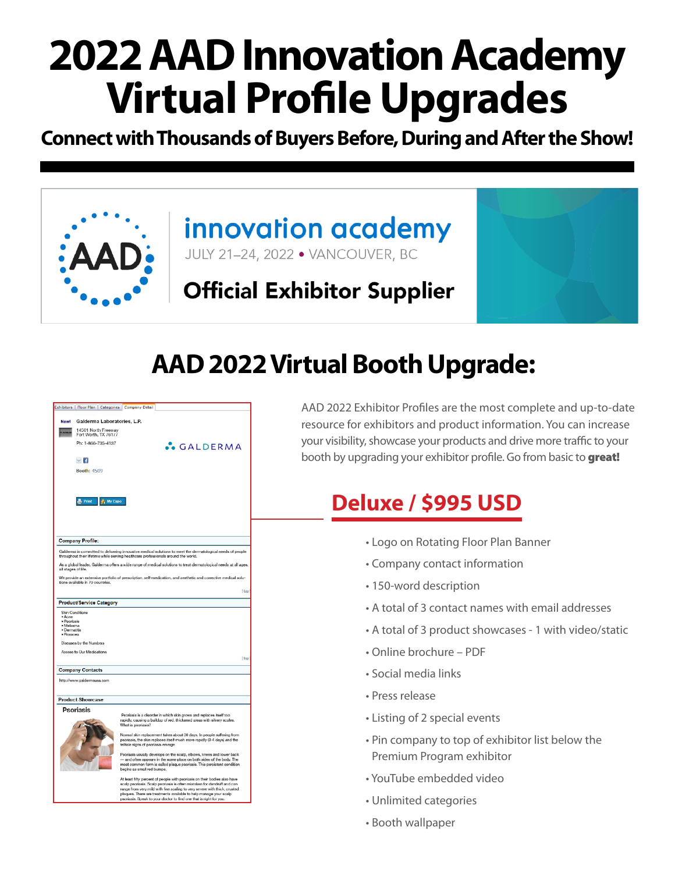# **2022 AAD Innovation Academy Virtual Profile Upgrades**

**Connect with Thousands of Buyers Before, During and After the Show!** 



### innovation academy JULY 21-24, 2022 . VANCOUVER, BC

**Official Exhibitor Supplier** 

**AAD 2022 Virtual Booth Upgrade:**

|                                                                                                                                         | Exhibitors Floor Plan Categories Company Detail |                                                                                                                                                                                                                                                       |  |  |  |  |  |
|-----------------------------------------------------------------------------------------------------------------------------------------|-------------------------------------------------|-------------------------------------------------------------------------------------------------------------------------------------------------------------------------------------------------------------------------------------------------------|--|--|--|--|--|
|                                                                                                                                         | New! Galderma Laboratories, L.P.                |                                                                                                                                                                                                                                                       |  |  |  |  |  |
|                                                                                                                                         | 14501 North Freeway<br>Fort Worth, TX 76177     |                                                                                                                                                                                                                                                       |  |  |  |  |  |
|                                                                                                                                         | Ph: 1-866-735-4137                              | <b>S</b> GALDERMA                                                                                                                                                                                                                                     |  |  |  |  |  |
|                                                                                                                                         | $\vee$ 4                                        |                                                                                                                                                                                                                                                       |  |  |  |  |  |
|                                                                                                                                         | <b>Booth: 4509</b>                              |                                                                                                                                                                                                                                                       |  |  |  |  |  |
|                                                                                                                                         |                                                 |                                                                                                                                                                                                                                                       |  |  |  |  |  |
|                                                                                                                                         | Print<br>the My Expo                            |                                                                                                                                                                                                                                                       |  |  |  |  |  |
|                                                                                                                                         |                                                 |                                                                                                                                                                                                                                                       |  |  |  |  |  |
|                                                                                                                                         | <b>Company Profile:</b>                         |                                                                                                                                                                                                                                                       |  |  |  |  |  |
|                                                                                                                                         |                                                 | Galderma is committed to delivering innovative medical solutions to meet the dermatological needs of people<br>throughout their lifetime while serving healthcare professionals around the world.                                                     |  |  |  |  |  |
| As a global leader, Galderma offers a wide range of medical solutions to treat dermatological needs at all ages,<br>all stages of life. |                                                 |                                                                                                                                                                                                                                                       |  |  |  |  |  |
|                                                                                                                                         | tions available in 70 countries.                | We provide an extensive portfolio of prescription, self-medication, and aesthetic and corrective medical solu-                                                                                                                                        |  |  |  |  |  |
|                                                                                                                                         |                                                 | [ lop ]                                                                                                                                                                                                                                               |  |  |  |  |  |
|                                                                                                                                         | <b>Product/Service Category</b>                 |                                                                                                                                                                                                                                                       |  |  |  |  |  |
| • Acne<br>· Psoriasis<br>· Melgama<br>· Dermatitis<br>· Rosacea                                                                         | Skin Conditions                                 |                                                                                                                                                                                                                                                       |  |  |  |  |  |
|                                                                                                                                         | Diseases by the Numbers                         |                                                                                                                                                                                                                                                       |  |  |  |  |  |
|                                                                                                                                         | Access to Our Medications                       |                                                                                                                                                                                                                                                       |  |  |  |  |  |
|                                                                                                                                         |                                                 | [ top ]                                                                                                                                                                                                                                               |  |  |  |  |  |
|                                                                                                                                         | <b>Company Contacts</b>                         |                                                                                                                                                                                                                                                       |  |  |  |  |  |
|                                                                                                                                         | http://www.galdermausa.com                      |                                                                                                                                                                                                                                                       |  |  |  |  |  |
|                                                                                                                                         | <b>Product Showcase</b>                         |                                                                                                                                                                                                                                                       |  |  |  |  |  |
|                                                                                                                                         | Psoriasis                                       |                                                                                                                                                                                                                                                       |  |  |  |  |  |
|                                                                                                                                         |                                                 | Psoriasis is a disorder in which skin grows and replaces itself too<br>rapidly, causing a buildup of red, thickened areas with silvery scales.<br>What is pscriasis?                                                                                  |  |  |  |  |  |
|                                                                                                                                         |                                                 | Normal skin replacement takes about 30 days. In people suffering from<br>peoriasis, the skin replaces itself much more rapidly (3-4 days) and the<br>telltale signs of pscriasis emerge.                                                              |  |  |  |  |  |
|                                                                                                                                         |                                                 | Psoriasis usually develops on the scalp, elbows, knees and lower back<br>– and often appears in the same place on both sides of the body. The<br>most common form is called plaque psoriasis. This persistent condition<br>begins as small red bumps. |  |  |  |  |  |
|                                                                                                                                         |                                                 |                                                                                                                                                                                                                                                       |  |  |  |  |  |

AAD 2022 Exhibitor Profiles are the most complete and up-to-date resource for exhibitors and product information. You can increase your visibility, showcase your products and drive more traffic to your booth by upgrading your exhibitor profile. Go from basic to great!

## **Deluxe / \$995 USD**

- Logo on Rotating Floor Plan Banner
- Company contact information
- 150-word description
- A total of 3 contact names with email addresses
- A total of 3 product showcases 1 with video/static
- Online brochure PDF
- Social media links
- Press release
- Listing of 2 special events
- Pin company to top of exhibitor list below the Premium Program exhibitor
- YouTube embedded video
- Unlimited categories
- Booth wallpaper